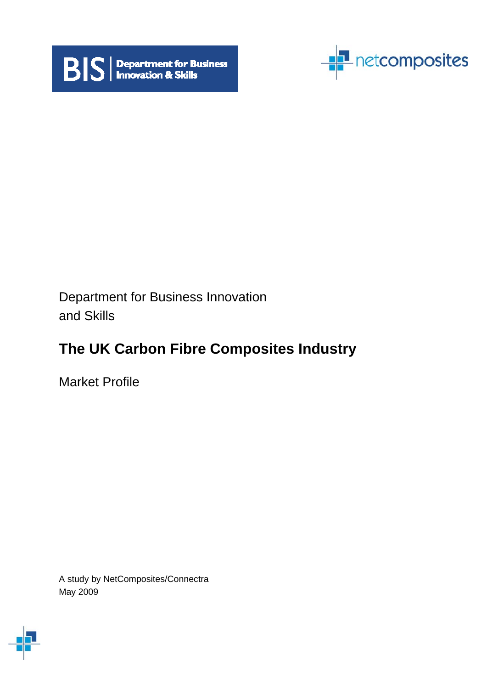



Department for Business Innovation and Skills

# **The UK Carbon Fibre Composites Industry**

Market Profile

A study by NetComposites/Connectra May 2009

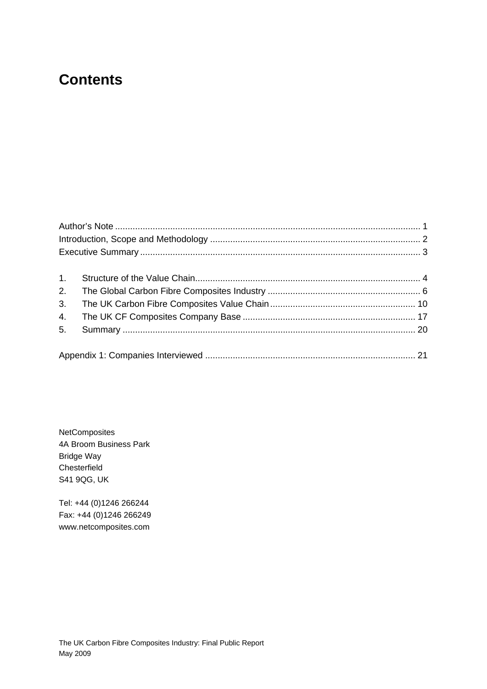# **Contents**

| 2. |  |
|----|--|
| 3. |  |
| 4. |  |
| 5. |  |
|    |  |

**NetComposites** 4A Broom Business Park Bridge Way Chesterfield S41 9QG, UK

Tel: +44 (0)1246 266244 Fax: +44 (0)1246 266249 www.netcomposites.com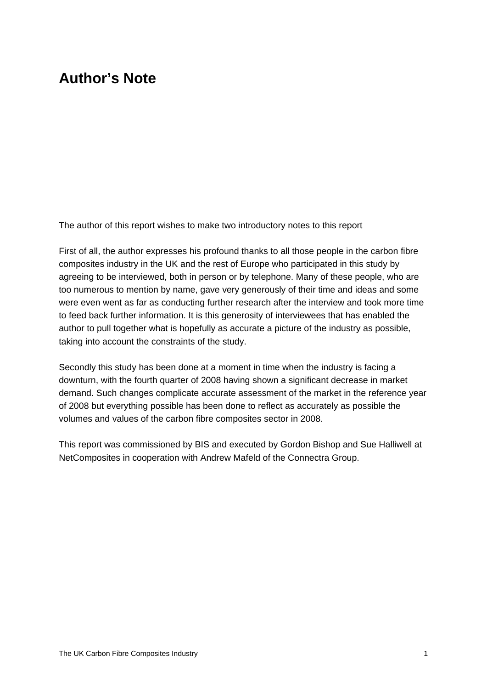# <span id="page-2-0"></span>**Author's Note**

The author of this report wishes to make two introductory notes to this report

First of all, the author expresses his profound thanks to all those people in the carbon fibre composites industry in the UK and the rest of Europe who participated in this study by agreeing to be interviewed, both in person or by telephone. Many of these people, who are too numerous to mention by name, gave very generously of their time and ideas and some were even went as far as conducting further research after the interview and took more time to feed back further information. It is this generosity of interviewees that has enabled the author to pull together what is hopefully as accurate a picture of the industry as possible, taking into account the constraints of the study.

Secondly this study has been done at a moment in time when the industry is facing a downturn, with the fourth quarter of 2008 having shown a significant decrease in market demand. Such changes complicate accurate assessment of the market in the reference year of 2008 but everything possible has been done to reflect as accurately as possible the volumes and values of the carbon fibre composites sector in 2008.

This report was commissioned by BIS and executed by Gordon Bishop and Sue Halliwell at NetComposites in cooperation with Andrew Mafeld of the Connectra Group.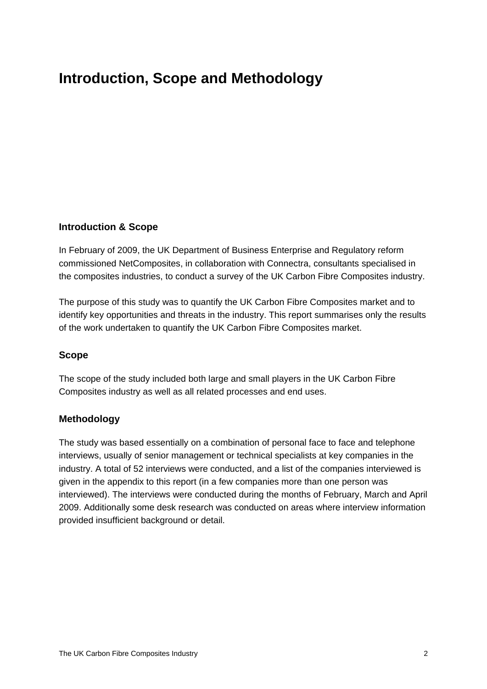# <span id="page-3-0"></span>**Introduction, Scope and Methodology**

### **Introduction & Scope**

In February of 2009, the UK Department of Business Enterprise and Regulatory reform commissioned NetComposites, in collaboration with Connectra, consultants specialised in the composites industries, to conduct a survey of the UK Carbon Fibre Composites industry.

The purpose of this study was to quantify the UK Carbon Fibre Composites market and to identify key opportunities and threats in the industry. This report summarises only the results of the work undertaken to quantify the UK Carbon Fibre Composites market.

#### **Scope**

The scope of the study included both large and small players in the UK Carbon Fibre Composites industry as well as all related processes and end uses.

#### **Methodology**

The study was based essentially on a combination of personal face to face and telephone interviews, usually of senior management or technical specialists at key companies in the industry. A total of 52 interviews were conducted, and a list of the companies interviewed is given in the appendix to this report (in a few companies more than one person was interviewed). The interviews were conducted during the months of February, March and April 2009. Additionally some desk research was conducted on areas where interview information provided insufficient background or detail.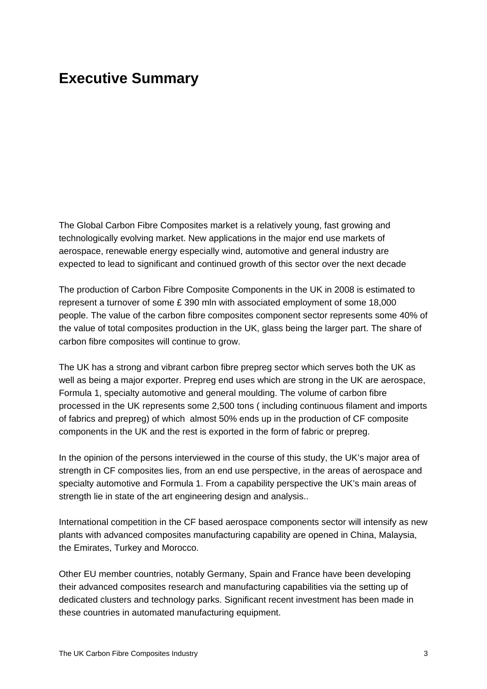## <span id="page-4-0"></span>**Executive Summary**

The Global Carbon Fibre Composites market is a relatively young, fast growing and technologically evolving market. New applications in the major end use markets of aerospace, renewable energy especially wind, automotive and general industry are expected to lead to significant and continued growth of this sector over the next decade

The production of Carbon Fibre Composite Components in the UK in 2008 is estimated to represent a turnover of some £ 390 mln with associated employment of some 18,000 people. The value of the carbon fibre composites component sector represents some 40% of the value of total composites production in the UK, glass being the larger part. The share of carbon fibre composites will continue to grow.

The UK has a strong and vibrant carbon fibre prepreg sector which serves both the UK as well as being a major exporter. Prepreg end uses which are strong in the UK are aerospace, Formula 1, specialty automotive and general moulding. The volume of carbon fibre processed in the UK represents some 2,500 tons ( including continuous filament and imports of fabrics and prepreg) of which almost 50% ends up in the production of CF composite components in the UK and the rest is exported in the form of fabric or prepreg.

In the opinion of the persons interviewed in the course of this study, the UK's major area of strength in CF composites lies, from an end use perspective, in the areas of aerospace and specialty automotive and Formula 1. From a capability perspective the UK's main areas of strength lie in state of the art engineering design and analysis..

International competition in the CF based aerospace components sector will intensify as new plants with advanced composites manufacturing capability are opened in China, Malaysia, the Emirates, Turkey and Morocco.

Other EU member countries, notably Germany, Spain and France have been developing their advanced composites research and manufacturing capabilities via the setting up of dedicated clusters and technology parks. Significant recent investment has been made in these countries in automated manufacturing equipment.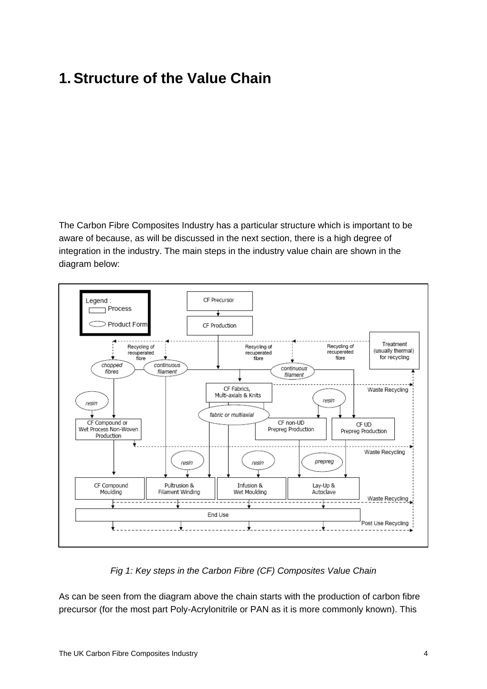# <span id="page-5-0"></span>**1.Structure of the Value Chain**

The Carbon Fibre Composites Industry has a particular structure which is important to be aware of because, as will be discussed in the next section, there is a high degree of integration in the industry. The main steps in the industry value chain are shown in the diagram below:



### *Fig 1: Key steps in the Carbon Fibre (CF) Composites Value Chain*

As can be seen from the diagram above the chain starts with the production of carbon fibre precursor (for the most part Poly-Acrylonitrile or PAN as it is more commonly known). This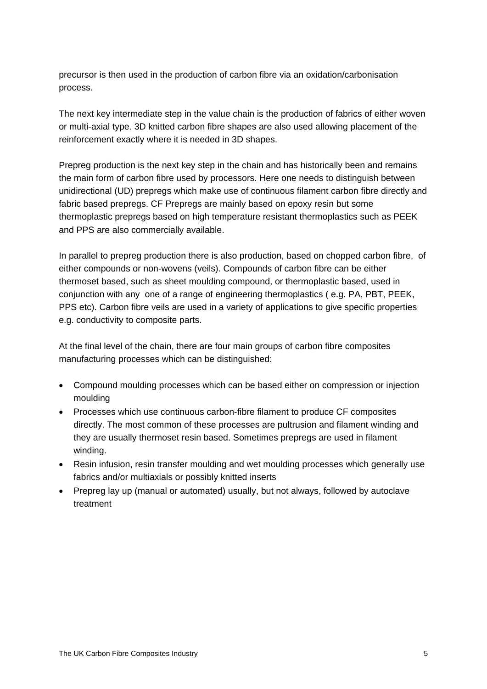precursor is then used in the production of carbon fibre via an oxidation/carbonisation process.

The next key intermediate step in the value chain is the production of fabrics of either woven or multi-axial type. 3D knitted carbon fibre shapes are also used allowing placement of the reinforcement exactly where it is needed in 3D shapes.

Prepreg production is the next key step in the chain and has historically been and remains the main form of carbon fibre used by processors. Here one needs to distinguish between unidirectional (UD) prepregs which make use of continuous filament carbon fibre directly and fabric based prepregs. CF Prepregs are mainly based on epoxy resin but some thermoplastic prepregs based on high temperature resistant thermoplastics such as PEEK and PPS are also commercially available.

In parallel to prepreg production there is also production, based on chopped carbon fibre, of either compounds or non-wovens (veils). Compounds of carbon fibre can be either thermoset based, such as sheet moulding compound, or thermoplastic based, used in conjunction with any one of a range of engineering thermoplastics ( e.g. PA, PBT, PEEK, PPS etc). Carbon fibre veils are used in a variety of applications to give specific properties e.g. conductivity to composite parts.

At the final level of the chain, there are four main groups of carbon fibre composites manufacturing processes which can be distinguished:

- Compound moulding processes which can be based either on compression or injection moulding
- Processes which use continuous carbon-fibre filament to produce CF composites directly. The most common of these processes are pultrusion and filament winding and they are usually thermoset resin based. Sometimes prepregs are used in filament winding.
- Resin infusion, resin transfer moulding and wet moulding processes which generally use fabrics and/or multiaxials or possibly knitted inserts
- Prepreg lay up (manual or automated) usually, but not always, followed by autoclave treatment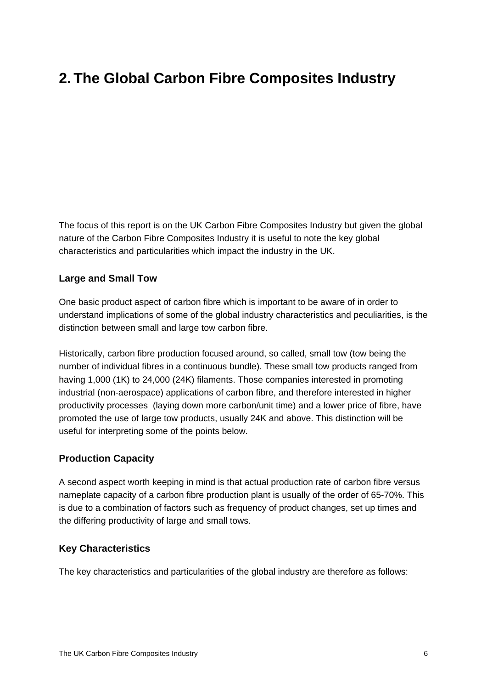# <span id="page-7-0"></span>**2. The Global Carbon Fibre Composites Industry**

The focus of this report is on the UK Carbon Fibre Composites Industry but given the global nature of the Carbon Fibre Composites Industry it is useful to note the key global characteristics and particularities which impact the industry in the UK.

#### **Large and Small Tow**

One basic product aspect of carbon fibre which is important to be aware of in order to understand implications of some of the global industry characteristics and peculiarities, is the distinction between small and large tow carbon fibre.

Historically, carbon fibre production focused around, so called, small tow (tow being the number of individual fibres in a continuous bundle). These small tow products ranged from having 1,000 (1K) to 24,000 (24K) filaments. Those companies interested in promoting industrial (non-aerospace) applications of carbon fibre, and therefore interested in higher productivity processes (laying down more carbon/unit time) and a lower price of fibre, have promoted the use of large tow products, usually 24K and above. This distinction will be useful for interpreting some of the points below.

### **Production Capacity**

A second aspect worth keeping in mind is that actual production rate of carbon fibre versus nameplate capacity of a carbon fibre production plant is usually of the order of 65-70%. This is due to a combination of factors such as frequency of product changes, set up times and the differing productivity of large and small tows.

#### **Key Characteristics**

The key characteristics and particularities of the global industry are therefore as follows: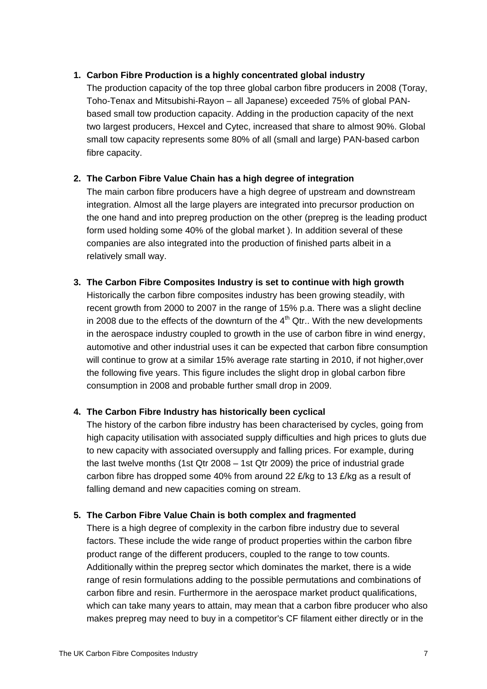#### **1. Carbon Fibre Production is a highly concentrated global industry**

The production capacity of the top three global carbon fibre producers in 2008 (Toray, Toho-Tenax and Mitsubishi-Rayon – all Japanese) exceeded 75% of global PANbased small tow production capacity. Adding in the production capacity of the next two largest producers, Hexcel and Cytec, increased that share to almost 90%. Global small tow capacity represents some 80% of all (small and large) PAN-based carbon fibre capacity.

#### **2. The Carbon Fibre Value Chain has a high degree of integration**

The main carbon fibre producers have a high degree of upstream and downstream integration. Almost all the large players are integrated into precursor production on the one hand and into prepreg production on the other (prepreg is the leading product form used holding some 40% of the global market ). In addition several of these companies are also integrated into the production of finished parts albeit in a relatively small way.

#### **3. The Carbon Fibre Composites Industry is set to continue with high growth**

Historically the carbon fibre composites industry has been growing steadily, with recent growth from 2000 to 2007 in the range of 15% p.a. There was a slight decline in 2008 due to the effects of the downturn of the  $4<sup>th</sup>$  Qtr.. With the new developments in the aerospace industry coupled to growth in the use of carbon fibre in wind energy, automotive and other industrial uses it can be expected that carbon fibre consumption will continue to grow at a similar 15% average rate starting in 2010, if not higher,over the following five years. This figure includes the slight drop in global carbon fibre consumption in 2008 and probable further small drop in 2009.

### **4. The Carbon Fibre Industry has historically been cyclical**

The history of the carbon fibre industry has been characterised by cycles, going from high capacity utilisation with associated supply difficulties and high prices to gluts due to new capacity with associated oversupply and falling prices. For example, during the last twelve months (1st Qtr 2008 – 1st Qtr 2009) the price of industrial grade carbon fibre has dropped some 40% from around 22 £/kg to 13 £/kg as a result of falling demand and new capacities coming on stream.

### **5. The Carbon Fibre Value Chain is both complex and fragmented**

There is a high degree of complexity in the carbon fibre industry due to several factors. These include the wide range of product properties within the carbon fibre product range of the different producers, coupled to the range to tow counts. Additionally within the prepreg sector which dominates the market, there is a wide range of resin formulations adding to the possible permutations and combinations of carbon fibre and resin. Furthermore in the aerospace market product qualifications, which can take many years to attain, may mean that a carbon fibre producer who also makes prepreg may need to buy in a competitor's CF filament either directly or in the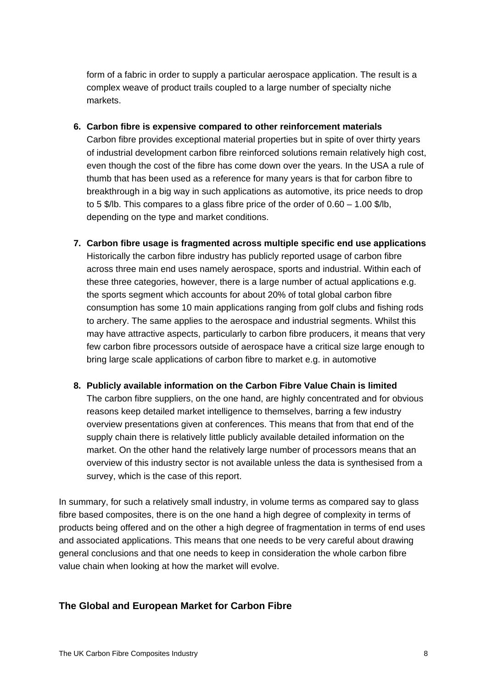form of a fabric in order to supply a particular aerospace application. The result is a complex weave of product trails coupled to a large number of specialty niche markets.

- **6. Carbon fibre is expensive compared to other reinforcement materials**  Carbon fibre provides exceptional material properties but in spite of over thirty years of industrial development carbon fibre reinforced solutions remain relatively high cost, even though the cost of the fibre has come down over the years. In the USA a rule of thumb that has been used as a reference for many years is that for carbon fibre to breakthrough in a big way in such applications as automotive, its price needs to drop to 5 \$/lb. This compares to a glass fibre price of the order of 0.60 – 1.00 \$/lb, depending on the type and market conditions.
- **7. Carbon fibre usage is fragmented across multiple specific end use applications**  Historically the carbon fibre industry has publicly reported usage of carbon fibre across three main end uses namely aerospace, sports and industrial. Within each of these three categories, however, there is a large number of actual applications e.g. the sports segment which accounts for about 20% of total global carbon fibre consumption has some 10 main applications ranging from golf clubs and fishing rods to archery. The same applies to the aerospace and industrial segments. Whilst this may have attractive aspects, particularly to carbon fibre producers, it means that very few carbon fibre processors outside of aerospace have a critical size large enough to bring large scale applications of carbon fibre to market e.g. in automotive
- **8. Publicly available information on the Carbon Fibre Value Chain is limited**  The carbon fibre suppliers, on the one hand, are highly concentrated and for obvious reasons keep detailed market intelligence to themselves, barring a few industry overview presentations given at conferences. This means that from that end of the supply chain there is relatively little publicly available detailed information on the market. On the other hand the relatively large number of processors means that an overview of this industry sector is not available unless the data is synthesised from a survey, which is the case of this report.

In summary, for such a relatively small industry, in volume terms as compared say to glass fibre based composites, there is on the one hand a high degree of complexity in terms of products being offered and on the other a high degree of fragmentation in terms of end uses and associated applications. This means that one needs to be very careful about drawing general conclusions and that one needs to keep in consideration the whole carbon fibre value chain when looking at how the market will evolve.

### **The Global and European Market for Carbon Fibre**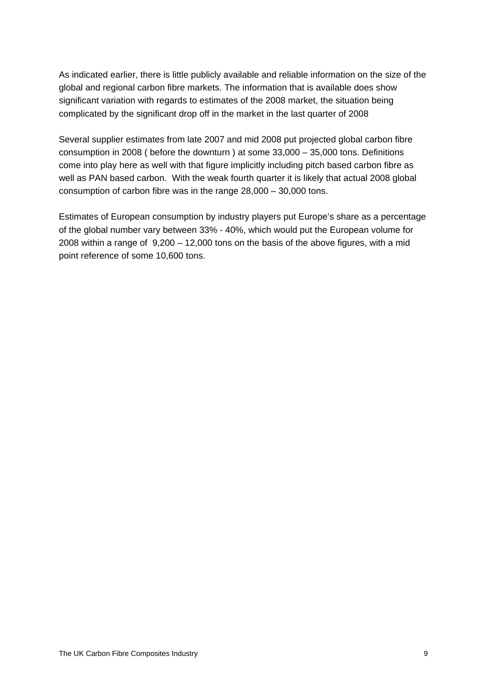As indicated earlier, there is little publicly available and reliable information on the size of the global and regional carbon fibre markets. The information that is available does show significant variation with regards to estimates of the 2008 market, the situation being complicated by the significant drop off in the market in the last quarter of 2008

Several supplier estimates from late 2007 and mid 2008 put projected global carbon fibre consumption in 2008 ( before the downturn ) at some 33,000 – 35,000 tons. Definitions come into play here as well with that figure implicitly including pitch based carbon fibre as well as PAN based carbon. With the weak fourth quarter it is likely that actual 2008 global consumption of carbon fibre was in the range 28,000 – 30,000 tons.

Estimates of European consumption by industry players put Europe's share as a percentage of the global number vary between 33% - 40%, which would put the European volume for 2008 within a range of 9,200 – 12,000 tons on the basis of the above figures, with a mid point reference of some 10,600 tons.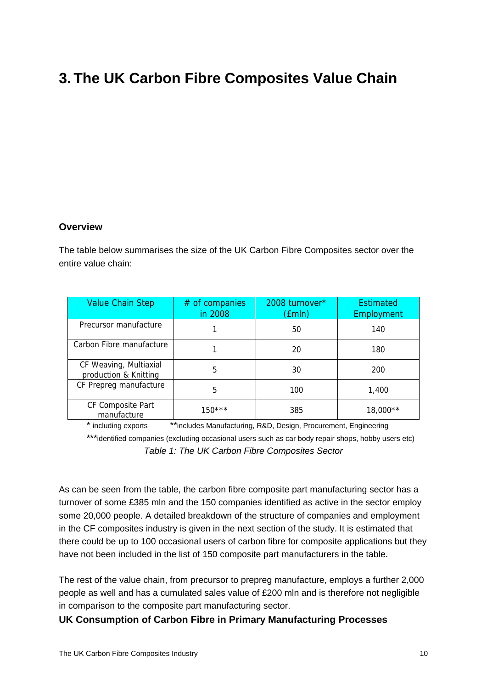# <span id="page-11-0"></span>**3. The UK Carbon Fibre Composites Value Chain**

#### **Overview**

The table below summarises the size of the UK Carbon Fibre Composites sector over the entire value chain:

| <b>Value Chain Step</b>                         | $#$ of companies<br>in 2008 | 2008 turnover*<br>(£mln) | <b>Estimated</b><br>Employment |
|-------------------------------------------------|-----------------------------|--------------------------|--------------------------------|
| Precursor manufacture                           |                             | 50                       | 140                            |
| Carbon Fibre manufacture                        |                             | 20                       | 180                            |
| CF Weaving, Multiaxial<br>production & Knitting | 5                           | 30                       | 200                            |
| CF Prepreg manufacture                          | 5                           | 100                      | 1,400                          |
| CF Composite Part<br>manufacture                | $150***$                    | 385                      | 18,000**                       |

\* including exports \*\*includes Manufacturing, R&D, Design, Procurement, Engineering

\*\*\*identified companies (excluding occasional users such as car body repair shops, hobby users etc) *Table 1: The UK Carbon Fibre Composites Sector* 

As can be seen from the table, the carbon fibre composite part manufacturing sector has a turnover of some £385 mln and the 150 companies identified as active in the sector employ some 20,000 people. A detailed breakdown of the structure of companies and employment in the CF composites industry is given in the next section of the study. It is estimated that there could be up to 100 occasional users of carbon fibre for composite applications but they have not been included in the list of 150 composite part manufacturers in the table.

The rest of the value chain, from precursor to prepreg manufacture, employs a further 2,000 people as well and has a cumulated sales value of £200 mln and is therefore not negligible in comparison to the composite part manufacturing sector.

### **UK Consumption of Carbon Fibre in Primary Manufacturing Processes**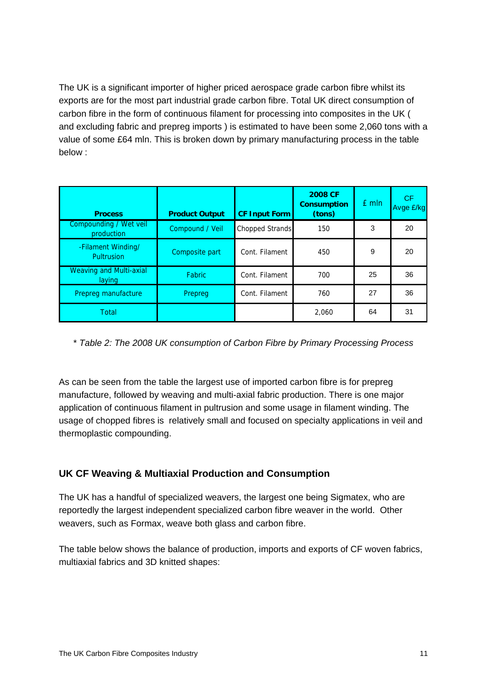The UK is a significant importer of higher priced aerospace grade carbon fibre whilst its exports are for the most part industrial grade carbon fibre. Total UK direct consumption of carbon fibre in the form of continuous filament for processing into composites in the UK ( and excluding fabric and prepreg imports ) is estimated to have been some 2,060 tons with a value of some £64 mln. This is broken down by primary manufacturing process in the table below :

| <b>Process</b>                           | <b>Product Output</b> | <b>CF Input Form</b> | <b>2008 CF</b><br><b>Consumption</b><br>(tons) | £ mln | CF.<br>Avge £/kg |
|------------------------------------------|-----------------------|----------------------|------------------------------------------------|-------|------------------|
| Compounding / Wet veil<br>production     | Compound / Veil       | Chopped Strands      | 150                                            | 3     | 20               |
| -Filament Winding/<br>Pultrusion         | Composite part        | Cont. Filament       | 450                                            | 9     | 20               |
| <b>Weaving and Multi-axial</b><br>laying | <b>Fabric</b>         | Cont. Filament       | 700                                            | 25    | 36               |
| Prepreg manufacture                      | Prepreg               | Cont. Filament       | 760                                            | 27    | 36               |
| Total                                    |                       |                      | 2,060                                          | 64    | 31               |

\* *Table 2: The 2008 UK consumption of Carbon Fibre by Primary Processing Process* 

As can be seen from the table the largest use of imported carbon fibre is for prepreg manufacture, followed by weaving and multi-axial fabric production. There is one major application of continuous filament in pultrusion and some usage in filament winding. The usage of chopped fibres is relatively small and focused on specialty applications in veil and thermoplastic compounding.

### **UK CF Weaving & Multiaxial Production and Consumption**

The UK has a handful of specialized weavers, the largest one being Sigmatex, who are reportedly the largest independent specialized carbon fibre weaver in the world. Other weavers, such as Formax, weave both glass and carbon fibre.

The table below shows the balance of production, imports and exports of CF woven fabrics, multiaxial fabrics and 3D knitted shapes: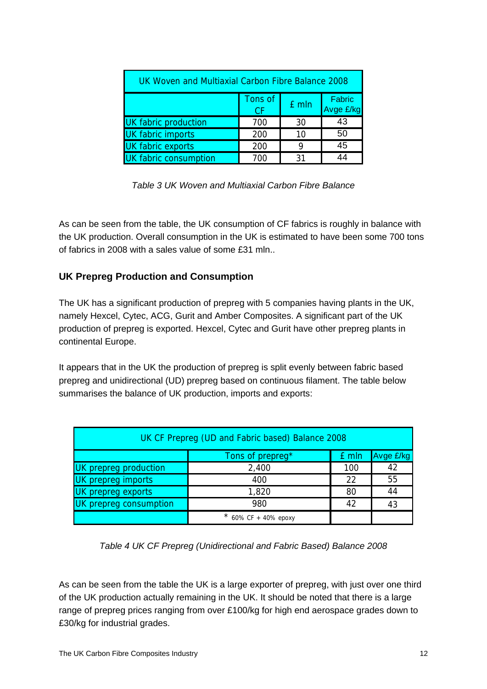| UK Woven and Multiaxial Carbon Fibre Balance 2008    |     |    |    |  |  |  |  |  |
|------------------------------------------------------|-----|----|----|--|--|--|--|--|
| Tons of<br><b>Fabric</b><br>£ mln<br>Avge £/kg<br>СF |     |    |    |  |  |  |  |  |
| <b>UK fabric production</b>                          | 700 | 30 | 43 |  |  |  |  |  |
| <b>UK fabric imports</b>                             | 200 | 10 | 50 |  |  |  |  |  |
| <b>UK</b> fabric exports                             | 200 |    | 45 |  |  |  |  |  |
| <b>UK fabric consumption</b>                         |     | २1 |    |  |  |  |  |  |

| Table 3 UK Woven and Multiaxial Carbon Fibre Balance |  |
|------------------------------------------------------|--|
|------------------------------------------------------|--|

As can be seen from the table, the UK consumption of CF fabrics is roughly in balance with the UK production. Overall consumption in the UK is estimated to have been some 700 tons of fabrics in 2008 with a sales value of some £31 mln..

### **UK Prepreg Production and Consumption**

The UK has a significant production of prepreg with 5 companies having plants in the UK, namely Hexcel, Cytec, ACG, Gurit and Amber Composites. A significant part of the UK production of prepreg is exported. Hexcel, Cytec and Gurit have other prepreg plants in continental Europe.

It appears that in the UK the production of prepreg is split evenly between fabric based prepreg and unidirectional (UD) prepreg based on continuous filament. The table below summarises the balance of UK production, imports and exports:

| UK CF Prepreg (UD and Fabric based) Balance 2008 |                    |     |    |  |  |  |  |
|--------------------------------------------------|--------------------|-----|----|--|--|--|--|
| Avge £/kg<br>Tons of prepreg*<br>£ mln           |                    |     |    |  |  |  |  |
| UK prepreg production                            | 2,400              | 100 | 42 |  |  |  |  |
| 55<br>UK prepreg imports<br>22<br>400            |                    |     |    |  |  |  |  |
| 44<br>UK prepreg exports<br>1,820<br>80          |                    |     |    |  |  |  |  |
| UK prepreg consumption<br>980<br>42<br>43        |                    |     |    |  |  |  |  |
|                                                  | 60% СF + 40% ероху |     |    |  |  |  |  |

*Table 4 UK CF Prepreg (Unidirectional and Fabric Based) Balance 2008* 

As can be seen from the table the UK is a large exporter of prepreg, with just over one third of the UK production actually remaining in the UK. It should be noted that there is a large range of prepreg prices ranging from over £100/kg for high end aerospace grades down to £30/kg for industrial grades.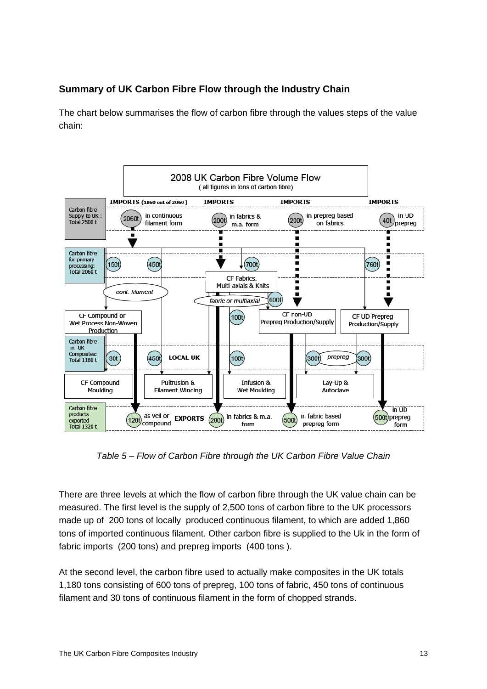### **Summary of UK Carbon Fibre Flow through the Industry Chain**

The chart below summarises the flow of carbon fibre through the values steps of the value chain:



*Table 5 – Flow of Carbon Fibre through the UK Carbon Fibre Value Chain* 

There are three levels at which the flow of carbon fibre through the UK value chain can be measured. The first level is the supply of 2,500 tons of carbon fibre to the UK processors made up of 200 tons of locally produced continuous filament, to which are added 1,860 tons of imported continuous filament. Other carbon fibre is supplied to the Uk in the form of fabric imports (200 tons) and prepreg imports (400 tons ).

At the second level, the carbon fibre used to actually make composites in the UK totals 1,180 tons consisting of 600 tons of prepreg, 100 tons of fabric, 450 tons of continuous filament and 30 tons of continuous filament in the form of chopped strands.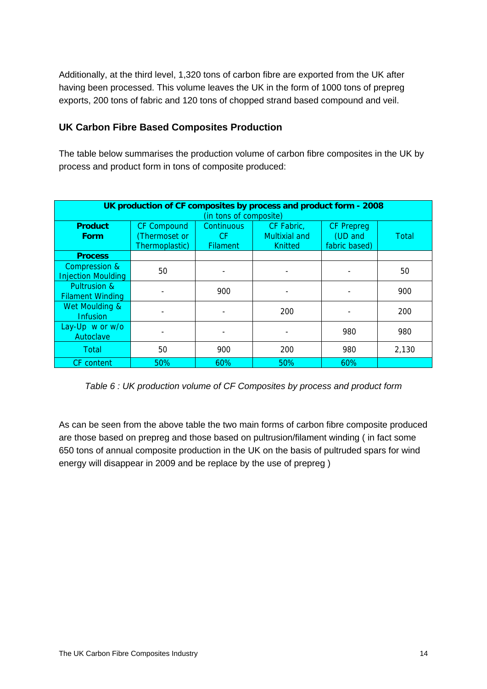Additionally, at the third level, 1,320 tons of carbon fibre are exported from the UK after having been processed. This volume leaves the UK in the form of 1000 tons of prepreg exports, 200 tons of fabric and 120 tons of chopped strand based compound and veil.

### **UK Carbon Fibre Based Composites Production**

The table below summarises the production volume of carbon fibre composites in the UK by process and product form in tons of composite produced:

| UK production of CF composites by process and product form - 2008<br>(in tons of composite) |                                                      |                                            |                                               |                                               |       |  |  |  |
|---------------------------------------------------------------------------------------------|------------------------------------------------------|--------------------------------------------|-----------------------------------------------|-----------------------------------------------|-------|--|--|--|
| <b>Product</b><br><b>Form</b>                                                               | <b>CF Compound</b><br>Thermoset or<br>Thermoplastic) | <b>Continuous</b><br>CF<br><b>Filament</b> | CF Fabric,<br>Multixial and<br><b>Knitted</b> | <b>CF Prepreg</b><br>(UD and<br>fabric based) | Total |  |  |  |
| <b>Process</b>                                                                              |                                                      |                                            |                                               |                                               |       |  |  |  |
| Compression &<br><b>Injection Moulding</b>                                                  | 50                                                   |                                            |                                               |                                               | 50    |  |  |  |
| Pultrusion &<br><b>Filament Winding</b>                                                     |                                                      | 900                                        |                                               |                                               | 900   |  |  |  |
| Wet Moulding &<br><b>Infusion</b>                                                           |                                                      |                                            | 200                                           |                                               | 200   |  |  |  |
| Lay-Up w or w/o<br>Autoclave                                                                |                                                      |                                            |                                               | 980                                           | 980   |  |  |  |
| Total                                                                                       | 50                                                   | 900                                        | 200                                           | 980                                           | 2,130 |  |  |  |
| CF content                                                                                  | 50%                                                  | 60%                                        | 50%                                           | 60%                                           |       |  |  |  |

*Table 6 : UK production volume of CF Composites by process and product form* 

As can be seen from the above table the two main forms of carbon fibre composite produced are those based on prepreg and those based on pultrusion/filament winding ( in fact some 650 tons of annual composite production in the UK on the basis of pultruded spars for wind energy will disappear in 2009 and be replace by the use of prepreg )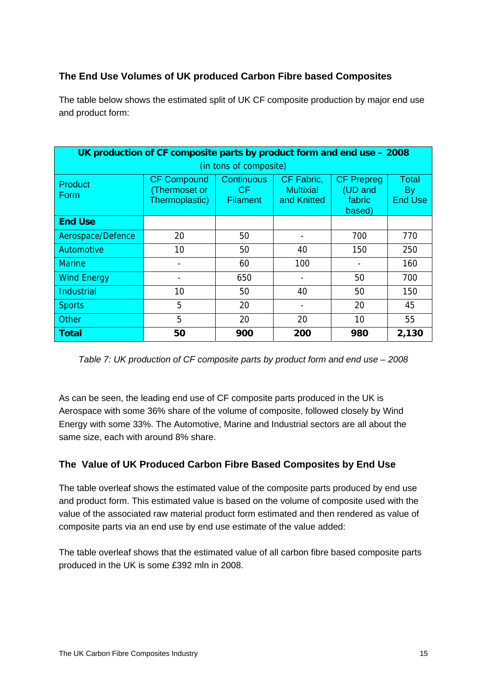### **The End Use Volumes of UK produced Carbon Fibre based Composites**

The table below shows the estimated split of UK CF composite production by major end use and product form:

|                        | UK production of CF composite parts by product form and end use - 2008 |                                             |                                               |                                                  |                               |  |  |  |  |
|------------------------|------------------------------------------------------------------------|---------------------------------------------|-----------------------------------------------|--------------------------------------------------|-------------------------------|--|--|--|--|
| (in tons of composite) |                                                                        |                                             |                                               |                                                  |                               |  |  |  |  |
| <b>Product</b><br>Form | <b>CF Compound</b><br>Thermoset or<br>Thermoplastic)                   | <b>Continuous</b><br>CF.<br><b>Filament</b> | CF Fabric,<br><b>Multixial</b><br>and Knitted | <b>CF Prepreg</b><br>(UD and<br>fabric<br>based) | Total<br>By<br><b>End Use</b> |  |  |  |  |
| <b>End Use</b>         |                                                                        |                                             |                                               |                                                  |                               |  |  |  |  |
| Aerospace/Defence      | 20                                                                     | 50                                          |                                               | 700                                              | 770                           |  |  |  |  |
| Automotive             | 10                                                                     | 50                                          | 40                                            | 150                                              | 250                           |  |  |  |  |
| <b>Marine</b>          |                                                                        | 60                                          | 100                                           |                                                  | 160                           |  |  |  |  |
| <b>Wind Energy</b>     |                                                                        | 650                                         |                                               | 50                                               | 700                           |  |  |  |  |
| <b>Industrial</b>      | 10                                                                     | 40                                          | 50                                            | 150                                              |                               |  |  |  |  |
| <b>Sports</b>          | 5                                                                      | 20                                          |                                               | 20                                               | 45                            |  |  |  |  |
| Other                  | 5                                                                      | 20                                          | 20                                            | 10                                               | 55                            |  |  |  |  |
| <b>Total</b>           | 50                                                                     | 900                                         | 200                                           | 980                                              | 2,130                         |  |  |  |  |

*Table 7: UK production of CF composite parts by product form and end use – 2008* 

As can be seen, the leading end use of CF composite parts produced in the UK is Aerospace with some 36% share of the volume of composite, followed closely by Wind Energy with some 33%. The Automotive, Marine and Industrial sectors are all about the same size, each with around 8% share.

### **The Value of UK Produced Carbon Fibre Based Composites by End Use**

The table overleaf shows the estimated value of the composite parts produced by end use and product form. This estimated value is based on the volume of composite used with the value of the associated raw material product form estimated and then rendered as value of composite parts via an end use by end use estimate of the value added:

The table overleaf shows that the estimated value of all carbon fibre based composite parts produced in the UK is some £392 mln in 2008.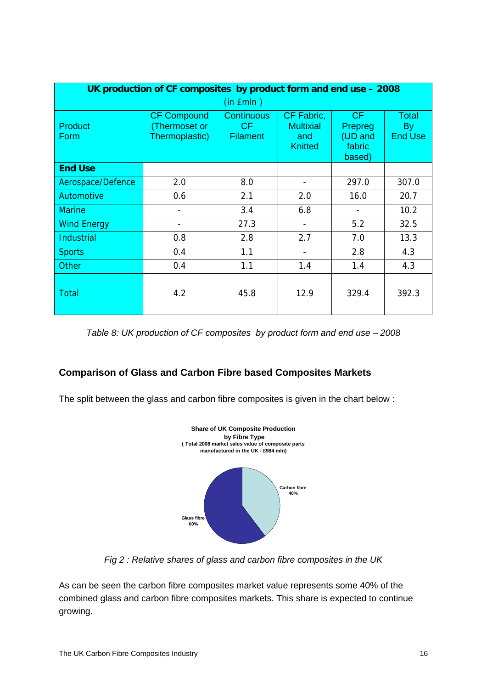|                        | UK production of CF composites by product form and end use - 2008 |                                             |                                                         |                                              |                                      |  |  |  |  |
|------------------------|-------------------------------------------------------------------|---------------------------------------------|---------------------------------------------------------|----------------------------------------------|--------------------------------------|--|--|--|--|
|                        |                                                                   | $(in$ $Emln)$                               |                                                         |                                              |                                      |  |  |  |  |
| <b>Product</b><br>Form | <b>CF Compound</b><br>Thermoset or<br>Thermoplastic)              | <b>Continuous</b><br>CF.<br><b>Filament</b> | CF Fabric,<br><b>Multixial</b><br>and<br><b>Knitted</b> | CF<br>Prepreg<br>(UD and<br>fabric<br>based) | <b>Total</b><br>By<br><b>End Use</b> |  |  |  |  |
| <b>End Use</b>         |                                                                   |                                             |                                                         |                                              |                                      |  |  |  |  |
| Aerospace/Defence      | 2.0                                                               | 8.0                                         | $\overline{\phantom{a}}$                                | 297.0                                        | 307.0                                |  |  |  |  |
| Automotive             | 0.6                                                               | 2.1                                         | 2.0                                                     | 16.0                                         | 20.7                                 |  |  |  |  |
| <b>Marine</b>          |                                                                   | 3.4                                         | 6.8                                                     |                                              | 10.2                                 |  |  |  |  |
| <b>Wind Energy</b>     |                                                                   | 27.3                                        |                                                         | 5.2                                          | 32.5                                 |  |  |  |  |
| <b>Industrial</b>      | 0.8                                                               | 2.8                                         | 2.7                                                     | 7.0                                          | 13.3                                 |  |  |  |  |
| <b>Sports</b>          | 0.4                                                               | 1.1                                         | $\blacksquare$                                          | 2.8                                          | 4.3                                  |  |  |  |  |
| <b>Other</b>           | 0.4                                                               | 1.1                                         | 1.4                                                     | 1.4                                          | 4.3                                  |  |  |  |  |
| <b>Total</b>           | 4.2                                                               | 45.8                                        | 12.9                                                    | 329.4                                        | 392.3                                |  |  |  |  |

*Table 8: UK production of CF composites by product form and end use – 2008* 

### **Comparison of Glass and Carbon Fibre based Composites Markets**

The split between the glass and carbon fibre composites is given in the chart below :



*Fig 2 : Relative shares of glass and carbon fibre composites in the UK* 

As can be seen the carbon fibre composites market value represents some 40% of the combined glass and carbon fibre composites markets. This share is expected to continue growing.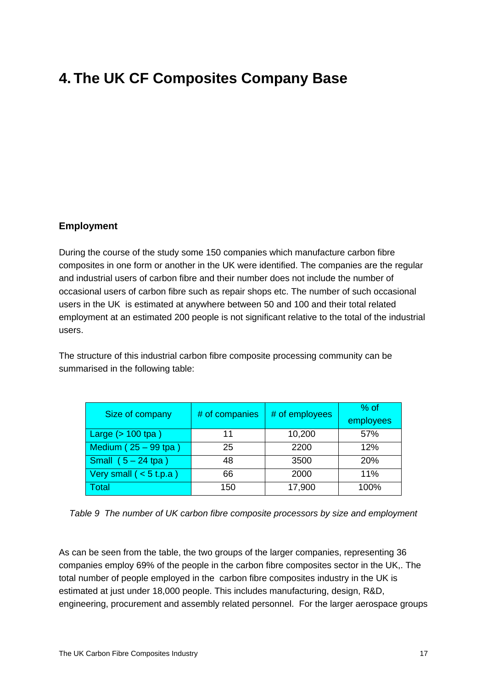# <span id="page-18-0"></span>**4. The UK CF Composites Company Base**

### **Employment**

During the course of the study some 150 companies which manufacture carbon fibre composites in one form or another in the UK were identified. The companies are the regular and industrial users of carbon fibre and their number does not include the number of occasional users of carbon fibre such as repair shops etc. The number of such occasional users in the UK is estimated at anywhere between 50 and 100 and their total related employment at an estimated 200 people is not significant relative to the total of the industrial users.

The structure of this industrial carbon fibre composite processing community can be summarised in the following table:

| Size of company          | # of companies | # of employees | $%$ of<br>employees |
|--------------------------|----------------|----------------|---------------------|
| Large $($ > 100 tpa)     | 10,200<br>11   |                | 57%                 |
| Medium $(25 - 99$ tpa)   | 25             | 2200           | 12%                 |
| Small $(5 - 24$ tpa)     | 48             | 3500           | 20%                 |
| Very small $(< 5 t.p.a)$ | 66             | 2000           | 11%                 |
| Total                    | 150            | 17,900         | 100%                |

*Table 9 The number of UK carbon fibre composite processors by size and employment* 

As can be seen from the table, the two groups of the larger companies, representing 36 companies employ 69% of the people in the carbon fibre composites sector in the UK,. The total number of people employed in the carbon fibre composites industry in the UK is estimated at just under 18,000 people. This includes manufacturing, design, R&D, engineering, procurement and assembly related personnel. For the larger aerospace groups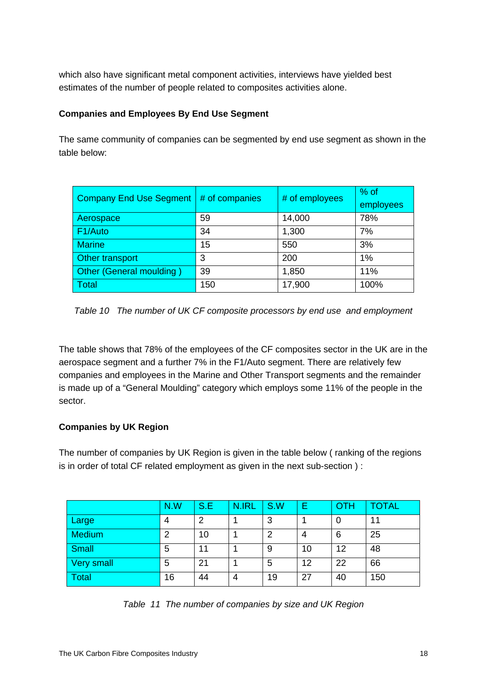which also have significant metal component activities, interviews have yielded best estimates of the number of people related to composites activities alone.

### **Companies and Employees By End Use Segment**

The same community of companies can be segmented by end use segment as shown in the table below:

| <b>Company End Use Segment</b> | # of companies | # of employees | $%$ of    |
|--------------------------------|----------------|----------------|-----------|
|                                |                |                | employees |
| Aerospace                      | 59             | 14,000         | 78%       |
| F1/Auto                        | 34             | 1,300          | 7%        |
| <b>Marine</b>                  | 15             | 550            | 3%        |
| Other transport                | 3              | 200            | 1%        |
| Other (General moulding)       | 39             | 1,850          | 11%       |
| Total                          | 150            | 17,900         | 100%      |

*Table 10 The number of UK CF composite processors by end use and employment* 

The table shows that 78% of the employees of the CF composites sector in the UK are in the aerospace segment and a further 7% in the F1/Auto segment. There are relatively few companies and employees in the Marine and Other Transport segments and the remainder is made up of a "General Moulding" category which employs some 11% of the people in the sector.

### **Companies by UK Region**

The number of companies by UK Region is given in the table below ( ranking of the regions is in order of total CF related employment as given in the next sub-section ) :

|              | N.W | S.E | N.IRL | S.W | Ε  | OTH | TOTAL |
|--------------|-----|-----|-------|-----|----|-----|-------|
| Large        | 4   | 2   |       | 3   |    | 0   | 11    |
| Medium       | っ   | 10  |       | っ   | 4  | 6   | 25    |
| Small        | 5   | 11  |       | 9   | 10 | 12  | 48    |
| Very small   | 5   | 21  |       | 5   | 12 | 22  | 66    |
| <b>Total</b> | 16  | 44  | 4     | 19  | 27 | 40  | 150   |

|  | Table 11 The number of companies by size and UK Region |  |
|--|--------------------------------------------------------|--|
|  |                                                        |  |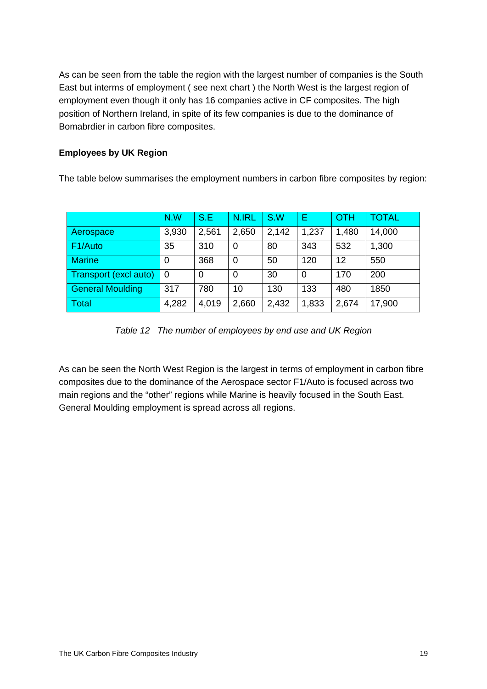As can be seen from the table the region with the largest number of companies is the South East but interms of employment ( see next chart ) the North West is the largest region of employment even though it only has 16 companies active in CF composites. The high position of Northern Ireland, in spite of its few companies is due to the dominance of Bomabrdier in carbon fibre composites.

### **Employees by UK Region**

The table below summarises the employment numbers in carbon fibre composites by region:

|                         | N.W   | S.E   | N.IRL | S.W   | Е     | OTH   | <b>TOTAL</b> |
|-------------------------|-------|-------|-------|-------|-------|-------|--------------|
| Aerospace               | 3,930 | 2,561 | 2,650 | 2,142 | 1,237 | 1,480 | 14,000       |
| F <sub>1</sub> /Auto    | 35    | 310   | 0     | 80    | 343   | 532   | 1,300        |
| <b>Marine</b>           | 0     | 368   | 0     | 50    | 120   | 12    | 550          |
| Transport (excl auto)   | 0     | 0     | 0     | 30    | 0     | 170   | 200          |
| <b>General Moulding</b> | 317   | 780   | 10    | 130   | 133   | 480   | 1850         |
| Total                   | 4,282 | 4,019 | 2,660 | 2,432 | 1,833 | 2,674 | 17,900       |

*Table 12 The number of employees by end use and UK Region* 

As can be seen the North West Region is the largest in terms of employment in carbon fibre composites due to the dominance of the Aerospace sector F1/Auto is focused across two main regions and the "other" regions while Marine is heavily focused in the South East. General Moulding employment is spread across all regions.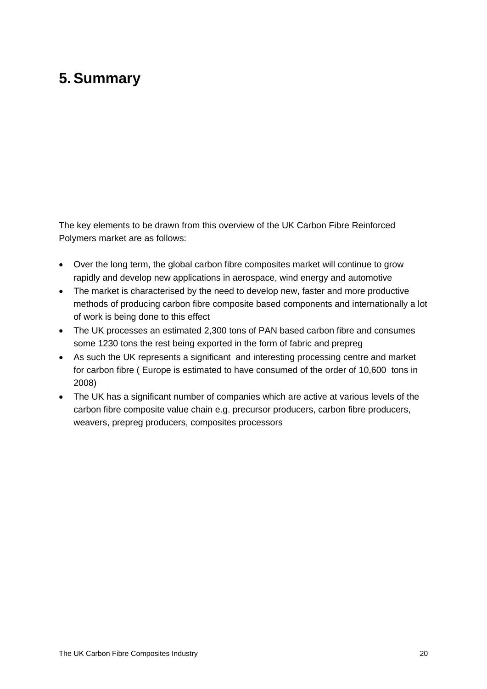# <span id="page-21-0"></span>**5.Summary**

The key elements to be drawn from this overview of the UK Carbon Fibre Reinforced Polymers market are as follows:

- Over the long term, the global carbon fibre composites market will continue to grow rapidly and develop new applications in aerospace, wind energy and automotive
- The market is characterised by the need to develop new, faster and more productive methods of producing carbon fibre composite based components and internationally a lot of work is being done to this effect
- The UK processes an estimated 2,300 tons of PAN based carbon fibre and consumes some 1230 tons the rest being exported in the form of fabric and prepreg
- As such the UK represents a significant and interesting processing centre and market for carbon fibre ( Europe is estimated to have consumed of the order of 10,600 tons in 2008)
- The UK has a significant number of companies which are active at various levels of the carbon fibre composite value chain e.g. precursor producers, carbon fibre producers, weavers, prepreg producers, composites processors